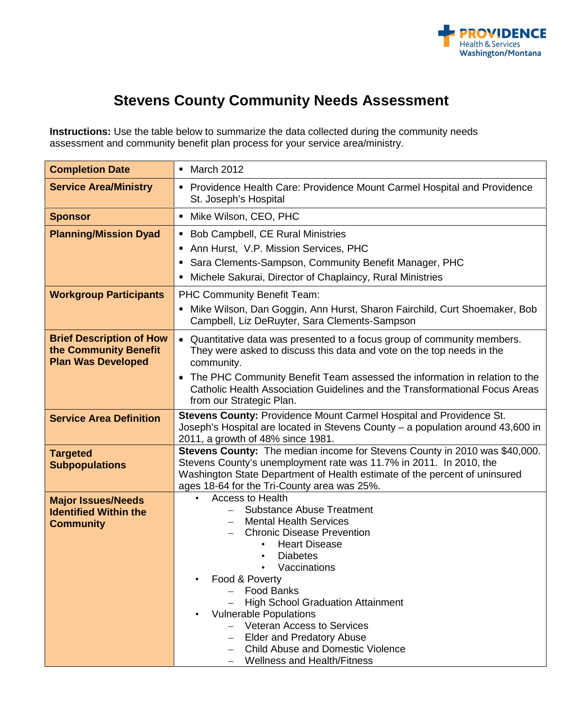

## **Stevens County Community Needs Assessment**

**Instructions:** Use the table below to summarize the data collected during the community needs assessment and community benefit plan process for your service area/ministry.

| <b>Completion Date</b>                                                                | • March 2012                                                                                                                                                                                                                                                                                                                                                                                                                                                                                                  |  |  |
|---------------------------------------------------------------------------------------|---------------------------------------------------------------------------------------------------------------------------------------------------------------------------------------------------------------------------------------------------------------------------------------------------------------------------------------------------------------------------------------------------------------------------------------------------------------------------------------------------------------|--|--|
| <b>Service Area/Ministry</b>                                                          | Providence Health Care: Providence Mount Carmel Hospital and Providence<br>St. Joseph's Hospital                                                                                                                                                                                                                                                                                                                                                                                                              |  |  |
| <b>Sponsor</b>                                                                        | Mike Wilson, CEO, PHC                                                                                                                                                                                                                                                                                                                                                                                                                                                                                         |  |  |
| <b>Planning/Mission Dyad</b>                                                          | • Bob Campbell, CE Rural Ministries<br>Ann Hurst, V.P. Mission Services, PHC<br>Sara Clements-Sampson, Community Benefit Manager, PHC<br>٠<br>Michele Sakurai, Director of Chaplaincy, Rural Ministries                                                                                                                                                                                                                                                                                                       |  |  |
| <b>Workgroup Participants</b>                                                         | PHC Community Benefit Team:<br>Mike Wilson, Dan Goggin, Ann Hurst, Sharon Fairchild, Curt Shoemaker, Bob<br>Campbell, Liz DeRuyter, Sara Clements-Sampson                                                                                                                                                                                                                                                                                                                                                     |  |  |
| <b>Brief Description of How</b><br>the Community Benefit<br><b>Plan Was Developed</b> | • Quantitative data was presented to a focus group of community members.<br>They were asked to discuss this data and vote on the top needs in the<br>community.<br>• The PHC Community Benefit Team assessed the information in relation to the<br>Catholic Health Association Guidelines and the Transformational Focus Areas<br>from our Strategic Plan.                                                                                                                                                    |  |  |
| <b>Service Area Definition</b>                                                        | Stevens County: Providence Mount Carmel Hospital and Providence St.<br>Joseph's Hospital are located in Stevens County - a population around 43,600 in<br>2011, a growth of 48% since 1981.                                                                                                                                                                                                                                                                                                                   |  |  |
| <b>Targeted</b><br><b>Subpopulations</b>                                              | Stevens County: The median income for Stevens County in 2010 was \$40,000.<br>Stevens County's unemployment rate was 11.7% in 2011. In 2010, the<br>Washington State Department of Health estimate of the percent of uninsured<br>ages 18-64 for the Tri-County area was 25%.                                                                                                                                                                                                                                 |  |  |
| <b>Major Issues/Needs</b><br><b>Identified Within the</b><br><b>Community</b>         | <b>Access to Health</b><br><b>Substance Abuse Treatment</b><br><b>Mental Health Services</b><br><b>Chronic Disease Prevention</b><br><b>Heart Disease</b><br>$\bullet$<br><b>Diabetes</b><br>Vaccinations<br>Food & Poverty<br><b>Food Banks</b><br><b>High School Graduation Attainment</b><br><b>Vulnerable Populations</b><br><b>Veteran Access to Services</b><br>$\overline{\phantom{0}}$<br><b>Elder and Predatory Abuse</b><br>Child Abuse and Domestic Violence<br><b>Wellness and Health/Fitness</b> |  |  |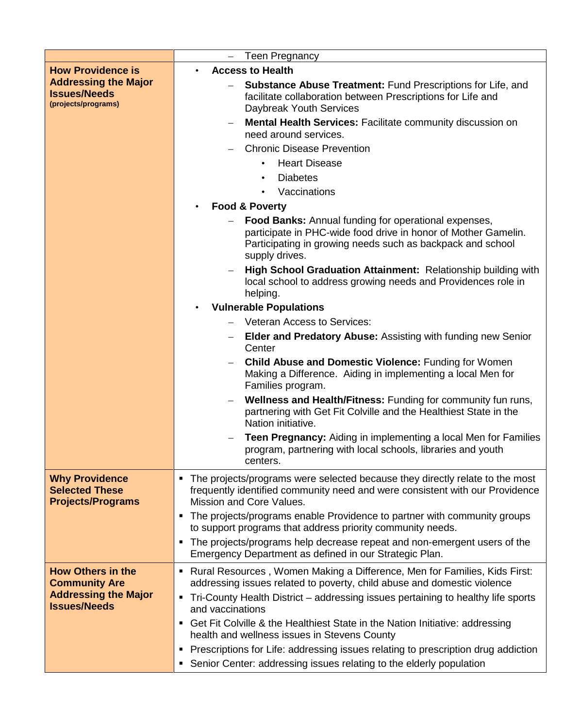|                                                                                                       | <b>Teen Pregnancy</b><br>$-$                                                                                                                                                                                  |  |  |  |  |
|-------------------------------------------------------------------------------------------------------|---------------------------------------------------------------------------------------------------------------------------------------------------------------------------------------------------------------|--|--|--|--|
| <b>How Providence is</b><br><b>Addressing the Major</b><br><b>Issues/Needs</b><br>(projects/programs) | <b>Access to Health</b><br><b>Substance Abuse Treatment: Fund Prescriptions for Life, and</b>                                                                                                                 |  |  |  |  |
|                                                                                                       | facilitate collaboration between Prescriptions for Life and<br>Daybreak Youth Services                                                                                                                        |  |  |  |  |
|                                                                                                       | <b>Mental Health Services: Facilitate community discussion on</b><br>need around services.                                                                                                                    |  |  |  |  |
|                                                                                                       | <b>Chronic Disease Prevention</b>                                                                                                                                                                             |  |  |  |  |
|                                                                                                       | <b>Heart Disease</b>                                                                                                                                                                                          |  |  |  |  |
|                                                                                                       | <b>Diabetes</b><br>$\bullet$                                                                                                                                                                                  |  |  |  |  |
|                                                                                                       | Vaccinations                                                                                                                                                                                                  |  |  |  |  |
|                                                                                                       | <b>Food &amp; Poverty</b><br>$\bullet$                                                                                                                                                                        |  |  |  |  |
|                                                                                                       | <b>Food Banks:</b> Annual funding for operational expenses,<br>participate in PHC-wide food drive in honor of Mother Gamelin.<br>Participating in growing needs such as backpack and school<br>supply drives. |  |  |  |  |
|                                                                                                       | High School Graduation Attainment: Relationship building with<br>local school to address growing needs and Providences role in<br>helping.                                                                    |  |  |  |  |
|                                                                                                       | <b>Vulnerable Populations</b>                                                                                                                                                                                 |  |  |  |  |
|                                                                                                       | <b>Veteran Access to Services:</b>                                                                                                                                                                            |  |  |  |  |
|                                                                                                       | <b>Elder and Predatory Abuse: Assisting with funding new Senior</b><br>$\qquad \qquad -$<br>Center                                                                                                            |  |  |  |  |
|                                                                                                       | <b>Child Abuse and Domestic Violence: Funding for Women</b><br>Making a Difference. Aiding in implementing a local Men for<br>Families program.                                                               |  |  |  |  |
|                                                                                                       | Wellness and Health/Fitness: Funding for community fun runs,<br>partnering with Get Fit Colville and the Healthiest State in the<br>Nation initiative.                                                        |  |  |  |  |
|                                                                                                       | <b>Teen Pregnancy:</b> Aiding in implementing a local Men for Families<br>program, partnering with local schools, libraries and youth<br>centers.                                                             |  |  |  |  |
| <b>Why Providence</b><br><b>Selected These</b><br><b>Projects/Programs</b>                            | • The projects/programs were selected because they directly relate to the most<br>frequently identified community need and were consistent with our Providence<br>Mission and Core Values.                    |  |  |  |  |
|                                                                                                       | The projects/programs enable Providence to partner with community groups<br>п<br>to support programs that address priority community needs.                                                                   |  |  |  |  |
|                                                                                                       | The projects/programs help decrease repeat and non-emergent users of the<br>٠<br>Emergency Department as defined in our Strategic Plan.                                                                       |  |  |  |  |
| <b>How Others in the</b>                                                                              | Rural Resources, Women Making a Difference, Men for Families, Kids First:<br>٠                                                                                                                                |  |  |  |  |
| <b>Community Are</b><br><b>Addressing the Major</b>                                                   | addressing issues related to poverty, child abuse and domestic violence                                                                                                                                       |  |  |  |  |
| <b>Issues/Needs</b>                                                                                   | Tri-County Health District – addressing issues pertaining to healthy life sports<br>٠<br>and vaccinations                                                                                                     |  |  |  |  |
|                                                                                                       | Get Fit Colville & the Healthiest State in the Nation Initiative: addressing<br>٠                                                                                                                             |  |  |  |  |
|                                                                                                       | health and wellness issues in Stevens County                                                                                                                                                                  |  |  |  |  |
|                                                                                                       | Prescriptions for Life: addressing issues relating to prescription drug addiction<br>п                                                                                                                        |  |  |  |  |
|                                                                                                       | Senior Center: addressing issues relating to the elderly population<br>٠                                                                                                                                      |  |  |  |  |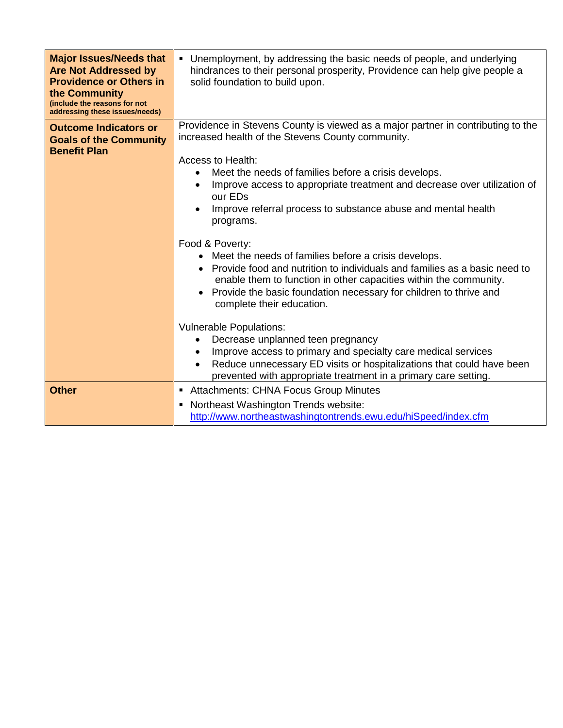| <b>Major Issues/Needs that</b><br><b>Are Not Addressed by</b><br><b>Providence or Others in</b><br>the Community<br>(include the reasons for not | • Unemployment, by addressing the basic needs of people, and underlying<br>hindrances to their personal prosperity, Providence can help give people a<br>solid foundation to build upon.                                                                                                                                        |  |  |  |
|--------------------------------------------------------------------------------------------------------------------------------------------------|---------------------------------------------------------------------------------------------------------------------------------------------------------------------------------------------------------------------------------------------------------------------------------------------------------------------------------|--|--|--|
| addressing these issues/needs)                                                                                                                   |                                                                                                                                                                                                                                                                                                                                 |  |  |  |
| <b>Outcome Indicators or</b><br><b>Goals of the Community</b><br><b>Benefit Plan</b>                                                             | Providence in Stevens County is viewed as a major partner in contributing to the<br>increased health of the Stevens County community.<br>Access to Health:<br>Meet the needs of families before a crisis develops.<br>Improve access to appropriate treatment and decrease over utilization of<br>our ED <sub>s</sub>           |  |  |  |
|                                                                                                                                                  | Improve referral process to substance abuse and mental health<br>programs.                                                                                                                                                                                                                                                      |  |  |  |
|                                                                                                                                                  | Food & Poverty:<br>• Meet the needs of families before a crisis develops.<br>• Provide food and nutrition to individuals and families as a basic need to<br>enable them to function in other capacities within the community.<br>Provide the basic foundation necessary for children to thrive and<br>complete their education. |  |  |  |
|                                                                                                                                                  | <b>Vulnerable Populations:</b><br>Decrease unplanned teen pregnancy<br>Improve access to primary and specialty care medical services<br>Reduce unnecessary ED visits or hospitalizations that could have been<br>prevented with appropriate treatment in a primary care setting.                                                |  |  |  |
| <b>Other</b>                                                                                                                                     | Attachments: CHNA Focus Group Minutes<br>Northeast Washington Trends website:<br>٠<br>http://www.northeastwashingtontrends.ewu.edu/hiSpeed/index.cfm                                                                                                                                                                            |  |  |  |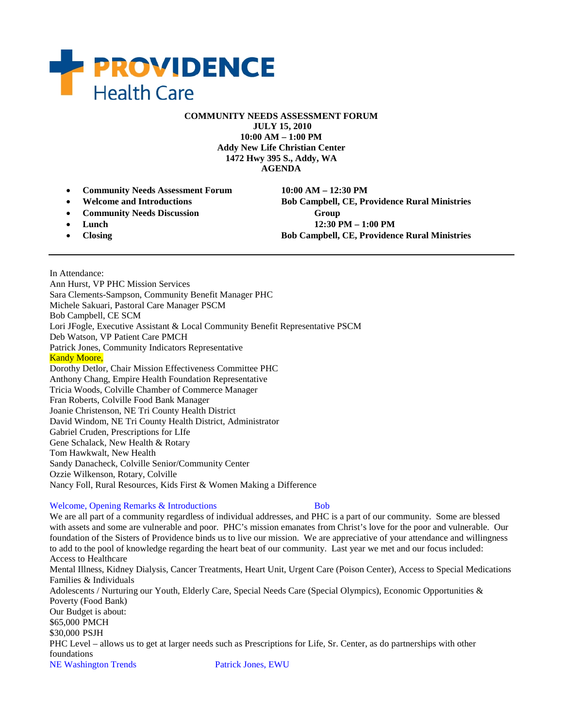

**COMMUNITY NEEDS ASSESSMENT FORUM**

**JULY 15, 2010 10:00 AM – 1:00 PM Addy New Life Christian Center 1472 Hwy 395 S., Addy, WA AGENDA**

- **Community Needs Assessment Forum 10:00 AM – 12:30 PM**
- 
- **Community Needs Discussion Group**
- 
- 

• **Welcome and Introductions Bob Campbell, CE, Providence Rural Ministries**  • **Lunch 12:30 PM – 1:00 PM** • **Closing Bob Campbell, CE, Providence Rural Ministries** 

In Attendance: Ann Hurst, VP PHC Mission Services Sara Clements-Sampson, Community Benefit Manager PHC Michele Sakuari, Pastoral Care Manager PSCM Bob Campbell, CE SCM Lori JFogle, Executive Assistant & Local Community Benefit Representative PSCM Deb Watson, VP Patient Care PMCH Patrick Jones, Community Indicators Representative **Kandy Moore,** Dorothy Detlor, Chair Mission Effectiveness Committee PHC Anthony Chang, Empire Health Foundation Representative Tricia Woods, Colville Chamber of Commerce Manager Fran Roberts, Colville Food Bank Manager Joanie Christenson, NE Tri County Health District David Windom, NE Tri County Health District, Administrator Gabriel Cruden, Prescriptions for LIfe Gene Schalack, New Health & Rotary Tom Hawkwalt, New Health Sandy Danacheck, Colville Senior/Community Center Ozzie Wilkenson, Rotary, Colville Nancy Foll, Rural Resources, Kids First & Women Making a Difference

#### Welcome, Opening Remarks & Introductions Bob

We are all part of a community regardless of individual addresses, and PHC is a part of our community. Some are blessed with assets and some are vulnerable and poor. PHC's mission emanates from Christ's love for the poor and vulnerable. Our foundation of the Sisters of Providence binds us to live our mission. We are appreciative of your attendance and willingness to add to the pool of knowledge regarding the heart beat of our community. Last year we met and our focus included: Access to Healthcare Mental Illness, Kidney Dialysis, Cancer Treatments, Heart Unit, Urgent Care (Poison Center), Access to Special Medications Families & Individuals Adolescents / Nurturing our Youth, Elderly Care, Special Needs Care (Special Olympics), Economic Opportunities & Poverty (Food Bank) Our Budget is about: \$65,000 PMCH \$30,000 PSJH PHC Level – allows us to get at larger needs such as Prescriptions for Life, Sr. Center, as do partnerships with other foundations

NE Washington Trends Patrick Jones, EWU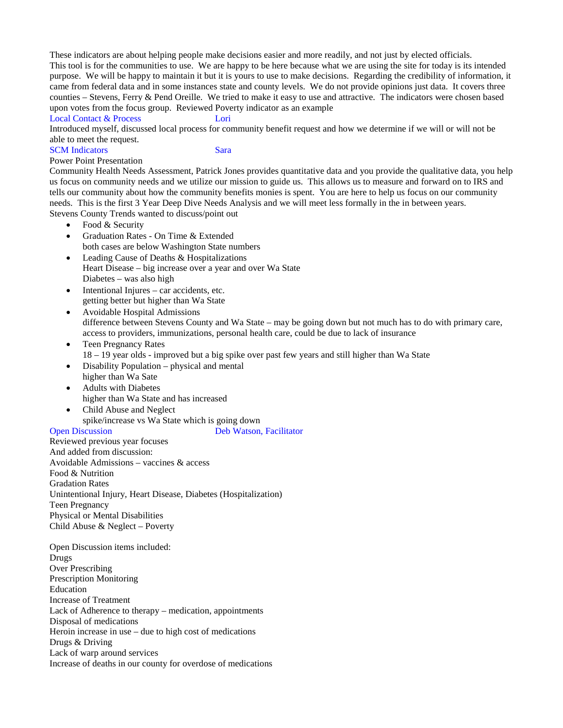These indicators are about helping people make decisions easier and more readily, and not just by elected officials. This tool is for the communities to use. We are happy to be here because what we are using the site for today is its intended purpose. We will be happy to maintain it but it is yours to use to make decisions. Regarding the credibility of information, it came from federal data and in some instances state and county levels. We do not provide opinions just data. It covers three counties – Stevens, Ferry & Pend Oreille. We tried to make it easy to use and attractive. The indicators were chosen based upon votes from the focus group. Reviewed Poverty indicator as an example

#### Local Contact & Process Lori

Introduced myself, discussed local process for community benefit request and how we determine if we will or will not be able to meet the request.

SCM Indicators Sara

#### Power Point Presentation

Community Health Needs Assessment, Patrick Jones provides quantitative data and you provide the qualitative data, you help us focus on community needs and we utilize our mission to guide us. This allows us to measure and forward on to IRS and tells our community about how the community benefits monies is spent. You are here to help us focus on our community needs. This is the first 3 Year Deep Dive Needs Analysis and we will meet less formally in the in between years. Stevens County Trends wanted to discuss/point out

- Food & Security
- Graduation Rates On Time & Extended both cases are below Washington State numbers
- Leading Cause of Deaths & Hospitalizations Heart Disease – big increase over a year and over Wa State Diabetes – was also high
- Intentional Injures car accidents, etc. getting better but higher than Wa State
- Avoidable Hospital Admissions difference between Stevens County and Wa State – may be going down but not much has to do with primary care, access to providers, immunizations, personal health care, could be due to lack of insurance
- Teen Pregnancy Rates 18 – 19 year olds - improved but a big spike over past few years and still higher than Wa State
- Disability Population physical and mental higher than Wa Sate
- Adults with Diabetes higher than Wa State and has increased
- Child Abuse and Neglect spike/increase vs Wa State which is going down<br>Open Discussion Deb Watson.

Deb Watson, Facilitator

Reviewed previous year focuses And added from discussion: Avoidable Admissions – vaccines & access Food & Nutrition Gradation Rates Unintentional Injury, Heart Disease, Diabetes (Hospitalization) Teen Pregnancy Physical or Mental Disabilities Child Abuse & Neglect – Poverty

Open Discussion items included: Drugs Over Prescribing Prescription Monitoring Education Increase of Treatment Lack of Adherence to therapy – medication, appointments Disposal of medications Heroin increase in use – due to high cost of medications Drugs & Driving Lack of warp around services Increase of deaths in our county for overdose of medications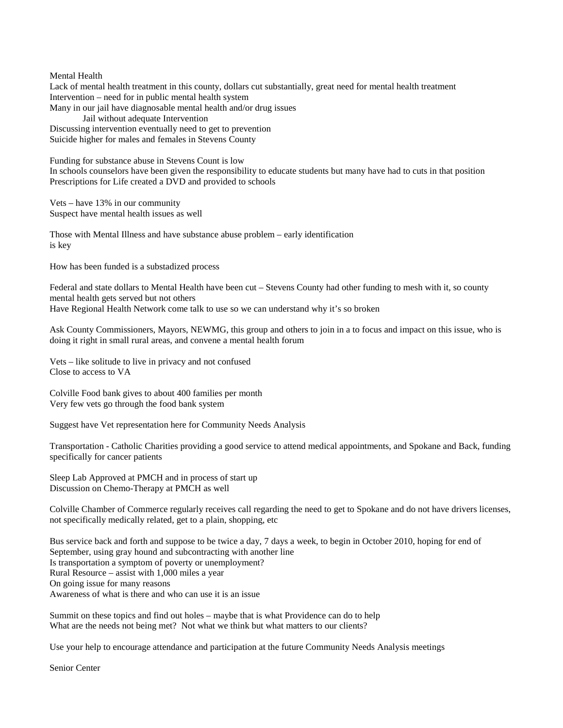Mental Health

Lack of mental health treatment in this county, dollars cut substantially, great need for mental health treatment Intervention – need for in public mental health system Many in our jail have diagnosable mental health and/or drug issues Jail without adequate Intervention Discussing intervention eventually need to get to prevention Suicide higher for males and females in Stevens County

Funding for substance abuse in Stevens Count is low In schools counselors have been given the responsibility to educate students but many have had to cuts in that position Prescriptions for Life created a DVD and provided to schools

Vets – have 13% in our community Suspect have mental health issues as well

Those with Mental Illness and have substance abuse problem – early identification is key

How has been funded is a substadized process

Federal and state dollars to Mental Health have been cut – Stevens County had other funding to mesh with it, so county mental health gets served but not others Have Regional Health Network come talk to use so we can understand why it's so broken

Ask County Commissioners, Mayors, NEWMG, this group and others to join in a to focus and impact on this issue, who is doing it right in small rural areas, and convene a mental health forum

Vets – like solitude to live in privacy and not confused Close to access to VA

Colville Food bank gives to about 400 families per month Very few vets go through the food bank system

Suggest have Vet representation here for Community Needs Analysis

Transportation - Catholic Charities providing a good service to attend medical appointments, and Spokane and Back, funding specifically for cancer patients

Sleep Lab Approved at PMCH and in process of start up Discussion on Chemo-Therapy at PMCH as well

Colville Chamber of Commerce regularly receives call regarding the need to get to Spokane and do not have drivers licenses, not specifically medically related, get to a plain, shopping, etc

Bus service back and forth and suppose to be twice a day, 7 days a week, to begin in October 2010, hoping for end of September, using gray hound and subcontracting with another line Is transportation a symptom of poverty or unemployment? Rural Resource – assist with 1,000 miles a year On going issue for many reasons Awareness of what is there and who can use it is an issue

Summit on these topics and find out holes – maybe that is what Providence can do to help What are the needs not being met? Not what we think but what matters to our clients?

Use your help to encourage attendance and participation at the future Community Needs Analysis meetings

Senior Center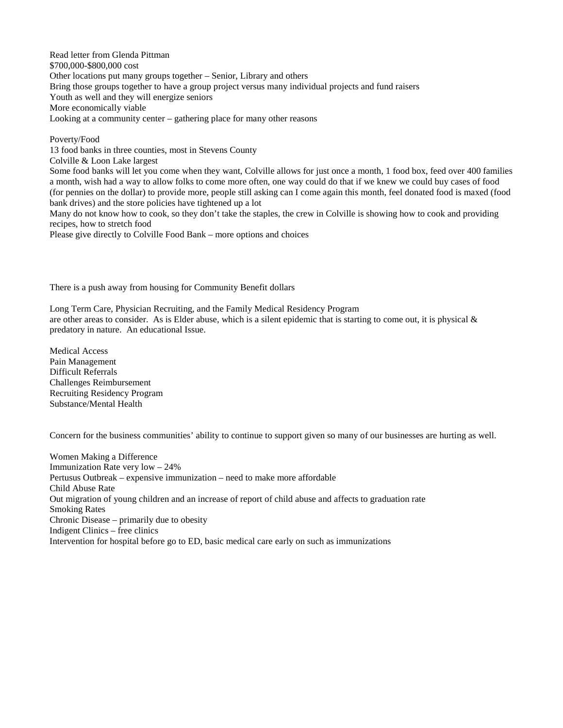Read letter from Glenda Pittman \$700,000-\$800,000 cost Other locations put many groups together – Senior, Library and others Bring those groups together to have a group project versus many individual projects and fund raisers Youth as well and they will energize seniors More economically viable Looking at a community center – gathering place for many other reasons

Poverty/Food 13 food banks in three counties, most in Stevens County Colville & Loon Lake largest Some food banks will let you come when they want, Colville allows for just once a month, 1 food box, feed over 400 families a month, wish had a way to allow folks to come more often, one way could do that if we knew we could buy cases of food (for pennies on the dollar) to provide more, people still asking can I come again this month, feel donated food is maxed (food bank drives) and the store policies have tightened up a lot Many do not know how to cook, so they don't take the staples, the crew in Colville is showing how to cook and providing recipes, how to stretch food Please give directly to Colville Food Bank – more options and choices

There is a push away from housing for Community Benefit dollars

Long Term Care, Physician Recruiting, and the Family Medical Residency Program are other areas to consider. As is Elder abuse, which is a silent epidemic that is starting to come out, it is physical  $\&$ predatory in nature. An educational Issue.

Medical Access Pain Management Difficult Referrals Challenges Reimbursement Recruiting Residency Program Substance/Mental Health

Concern for the business communities' ability to continue to support given so many of our businesses are hurting as well.

Women Making a Difference Immunization Rate very low – 24% Pertusus Outbreak – expensive immunization – need to make more affordable Child Abuse Rate Out migration of young children and an increase of report of child abuse and affects to graduation rate Smoking Rates Chronic Disease – primarily due to obesity Indigent Clinics – free clinics Intervention for hospital before go to ED, basic medical care early on such as immunizations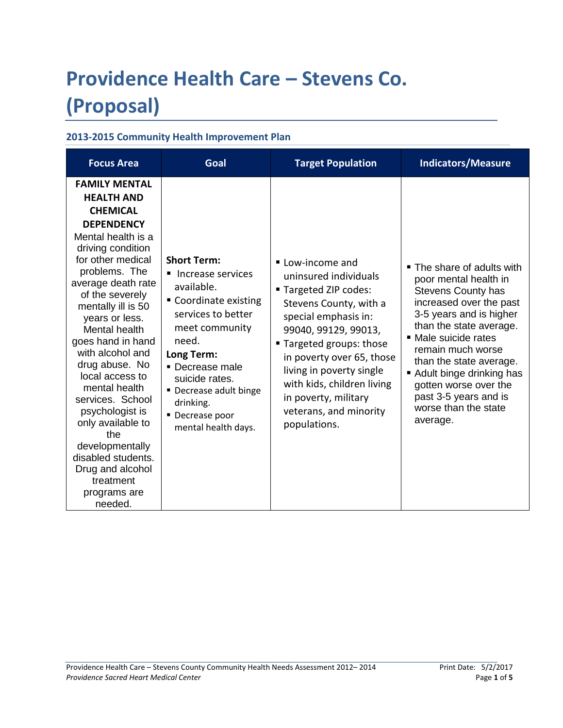# **Providence Health Care – Stevens Co. (Proposal)**

### **2013-2015 Community Health Improvement Plan**

| <b>Focus Area</b>                                                                                                                                                                                                                                                                                                                                                                                                                                                                                                                           | Goal                                                                                                                                                                                                                                                                | <b>Target Population</b>                                                                                                                                                                                                                                                                                                          | <b>Indicators/Measure</b>                                                                                                                                                                                                                                                                                                                                   |
|---------------------------------------------------------------------------------------------------------------------------------------------------------------------------------------------------------------------------------------------------------------------------------------------------------------------------------------------------------------------------------------------------------------------------------------------------------------------------------------------------------------------------------------------|---------------------------------------------------------------------------------------------------------------------------------------------------------------------------------------------------------------------------------------------------------------------|-----------------------------------------------------------------------------------------------------------------------------------------------------------------------------------------------------------------------------------------------------------------------------------------------------------------------------------|-------------------------------------------------------------------------------------------------------------------------------------------------------------------------------------------------------------------------------------------------------------------------------------------------------------------------------------------------------------|
| <b>FAMILY MENTAL</b><br><b>HEALTH AND</b><br><b>CHEMICAL</b><br><b>DEPENDENCY</b><br>Mental health is a<br>driving condition<br>for other medical<br>problems. The<br>average death rate<br>of the severely<br>mentally ill is 50<br>years or less.<br>Mental health<br>goes hand in hand<br>with alcohol and<br>drug abuse. No<br>local access to<br>mental health<br>services. School<br>psychologist is<br>only available to<br>the<br>developmentally<br>disabled students.<br>Drug and alcohol<br>treatment<br>programs are<br>needed. | <b>Short Term:</b><br>■ Increase services<br>available.<br>Coordinate existing<br>services to better<br>meet community<br>need.<br>Long Term:<br>• Decrease male<br>suicide rates.<br>• Decrease adult binge<br>drinking.<br>• Decrease poor<br>mental health days. | ■ Low-income and<br>uninsured individuals<br>■ Targeted ZIP codes:<br>Stevens County, with a<br>special emphasis in:<br>99040, 99129, 99013,<br>■ Targeted groups: those<br>in poverty over 65, those<br>living in poverty single<br>with kids, children living<br>in poverty, military<br>veterans, and minority<br>populations. | ■ The share of adults with<br>poor mental health in<br><b>Stevens County has</b><br>increased over the past<br>3-5 years and is higher<br>than the state average.<br>■ Male suicide rates<br>remain much worse<br>than the state average.<br>Adult binge drinking has<br>gotten worse over the<br>past 3-5 years and is<br>worse than the state<br>average. |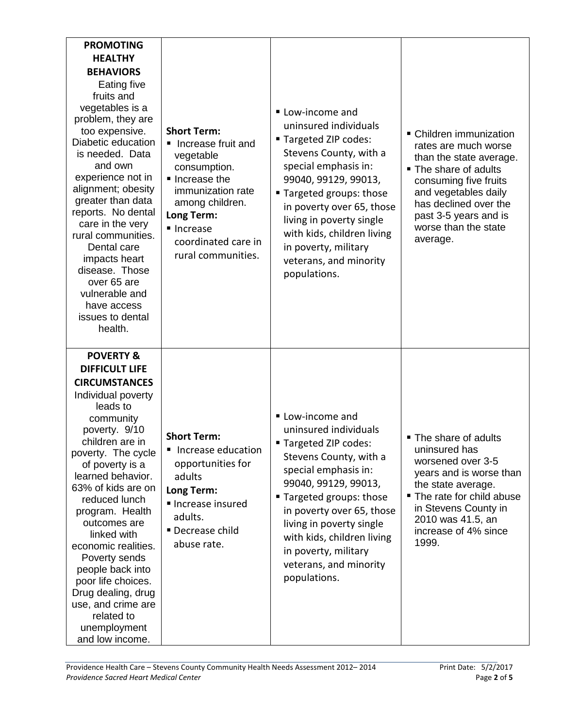| <b>PROMOTING</b><br><b>HEALTHY</b><br><b>BEHAVIORS</b><br>Eating five<br>fruits and<br>vegetables is a<br>problem, they are<br>too expensive.<br>Diabetic education<br>is needed. Data<br>and own<br>experience not in<br>alignment; obesity<br>greater than data<br>reports. No dental<br>care in the very<br>rural communities.<br>Dental care<br>impacts heart<br>disease. Those<br>over 65 are<br>vulnerable and<br>have access<br>issues to dental<br>health.                             | <b>Short Term:</b><br>Increase fruit and<br>vegetable<br>consumption.<br>Increase the<br>immunization rate<br>among children.<br>Long Term:<br>■ Increase<br>coordinated care in<br>rural communities. | Low-income and<br>uninsured individuals<br>" Targeted ZIP codes:<br>Stevens County, with a<br>special emphasis in:<br>99040, 99129, 99013,<br>" Targeted groups: those<br>in poverty over 65, those<br>living in poverty single<br>with kids, children living<br>in poverty, military<br>veterans, and minority<br>populations. | • Children immunization<br>rates are much worse<br>than the state average.<br>■ The share of adults<br>consuming five fruits<br>and vegetables daily<br>has declined over the<br>past 3-5 years and is<br>worse than the state<br>average. |
|------------------------------------------------------------------------------------------------------------------------------------------------------------------------------------------------------------------------------------------------------------------------------------------------------------------------------------------------------------------------------------------------------------------------------------------------------------------------------------------------|--------------------------------------------------------------------------------------------------------------------------------------------------------------------------------------------------------|---------------------------------------------------------------------------------------------------------------------------------------------------------------------------------------------------------------------------------------------------------------------------------------------------------------------------------|--------------------------------------------------------------------------------------------------------------------------------------------------------------------------------------------------------------------------------------------|
| <b>POVERTY &amp;</b><br><b>DIFFICULT LIFE</b><br><b>CIRCUMSTANCES</b><br>Individual poverty<br>leads to<br>community<br>poverty. 9/10<br>children are in<br>poverty. The cycle<br>of poverty is a<br>learned behavior.<br>63% of kids are on<br>reduced lunch<br>program. Health<br>outcomes are<br>linked with<br>economic realities.<br>Poverty sends<br>people back into<br>poor life choices.<br>Drug dealing, drug<br>use, and crime are<br>related to<br>unemployment<br>and low income. | <b>Short Term:</b><br>■ Increase education<br>opportunities for<br>adults<br>Long Term:<br>Increase insured<br>adults.<br>Decrease child<br>abuse rate.                                                | Low-income and<br>uninsured individuals<br>" Targeted ZIP codes:<br>Stevens County, with a<br>special emphasis in:<br>99040, 99129, 99013,<br>■ Targeted groups: those<br>in poverty over 65, those<br>living in poverty single<br>with kids, children living<br>in poverty, military<br>veterans, and minority<br>populations. | ■ The share of adults<br>uninsured has<br>worsened over 3-5<br>years and is worse than<br>the state average.<br>The rate for child abuse<br>in Stevens County in<br>2010 was 41.5, an<br>increase of 4% since<br>1999.                     |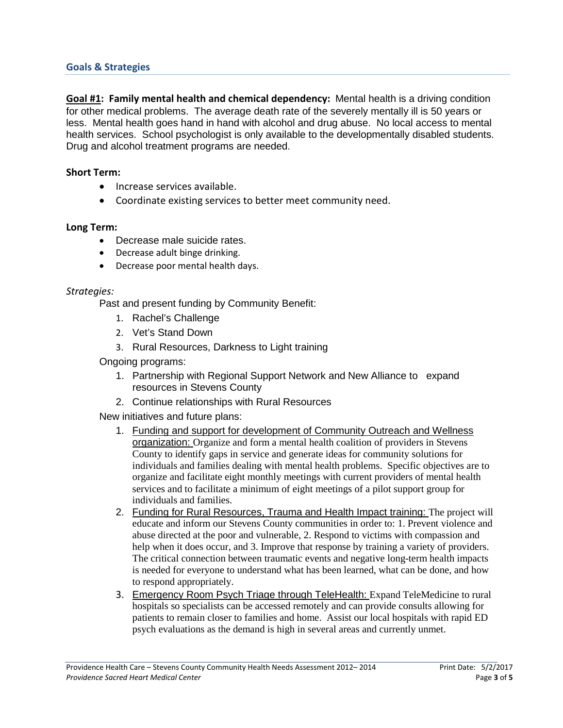#### **Goals & Strategies**

**Goal #1: Family mental health and chemical dependency:** Mental health is a driving condition for other medical problems. The average death rate of the severely mentally ill is 50 years or less. Mental health goes hand in hand with alcohol and drug abuse. No local access to mental health services. School psychologist is only available to the developmentally disabled students. Drug and alcohol treatment programs are needed.

#### **Short Term:**

- Increase services available.
- Coordinate existing services to better meet community need.

#### **Long Term:**

- Decrease male suicide rates.
- Decrease adult binge drinking.
- Decrease poor mental health days.

#### *Strategies:*

Past and present funding by Community Benefit:

- 1. Rachel's Challenge
- 2. Vet's Stand Down
- 3. Rural Resources, Darkness to Light training

Ongoing programs:

- 1. Partnership with Regional Support Network and New Alliance to expand resources in Stevens County
- 2. Continue relationships with Rural Resources

New initiatives and future plans:

- 1. Funding and support for development of Community Outreach and Wellness organization: Organize and form a mental health coalition of providers in Stevens County to identify gaps in service and generate ideas for community solutions for individuals and families dealing with mental health problems. Specific objectives are to organize and facilitate eight monthly meetings with current providers of mental health services and to facilitate a minimum of eight meetings of a pilot support group for individuals and families.
- 2. Funding for Rural Resources, Trauma and Health Impact training: The project will educate and inform our Stevens County communities in order to: 1. Prevent violence and abuse directed at the poor and vulnerable, 2. Respond to victims with compassion and help when it does occur, and 3. Improve that response by training a variety of providers. The critical connection between traumatic events and negative long-term health impacts is needed for everyone to understand what has been learned, what can be done, and how to respond appropriately.
- 3. Emergency Room Psych Triage through TeleHealth: Expand TeleMedicine to rural hospitals so specialists can be accessed remotely and can provide consults allowing for patients to remain closer to families and home. Assist our local hospitals with rapid ED psych evaluations as the demand is high in several areas and currently unmet.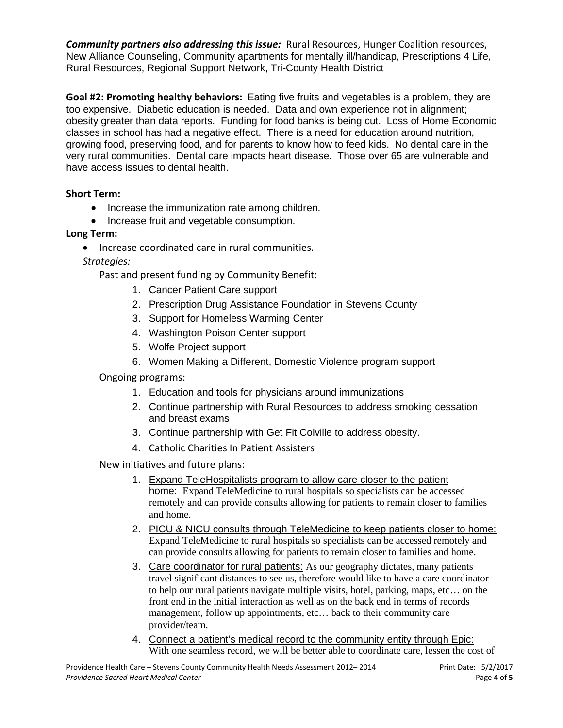*Community partners also addressing this issue:* Rural Resources, Hunger Coalition resources, New Alliance Counseling, Community apartments for mentally ill/handicap, Prescriptions 4 Life, Rural Resources, Regional Support Network, Tri-County Health District

**Goal #2: Promoting healthy behaviors:** Eating five fruits and vegetables is a problem, they are too expensive. Diabetic education is needed. Data and own experience not in alignment; obesity greater than data reports. Funding for food banks is being cut. Loss of Home Economic classes in school has had a negative effect. There is a need for education around nutrition, growing food, preserving food, and for parents to know how to feed kids. No dental care in the very rural communities. Dental care impacts heart disease. Those over 65 are vulnerable and have access issues to dental health.

#### **Short Term:**

- Increase the immunization rate among children.
- Increase fruit and vegetable consumption.

#### **Long Term:**

• Increase coordinated care in rural communities.

*Strategies:*

Past and present funding by Community Benefit:

- 1. Cancer Patient Care support
- 2. Prescription Drug Assistance Foundation in Stevens County
- 3. Support for Homeless Warming Center
- 4. Washington Poison Center support
- 5. Wolfe Project support
- 6. Women Making a Different, Domestic Violence program support

Ongoing programs:

- 1. Education and tools for physicians around immunizations
- 2. Continue partnership with Rural Resources to address smoking cessation and breast exams
- 3. Continue partnership with Get Fit Colville to address obesity.
- 4. Catholic Charities In Patient Assisters

New initiatives and future plans:

- 1. Expand TeleHospitalists program to allow care closer to the patient home: Expand TeleMedicine to rural hospitals so specialists can be accessed remotely and can provide consults allowing for patients to remain closer to families and home.
- 2. PICU & NICU consults through TeleMedicine to keep patients closer to home: Expand TeleMedicine to rural hospitals so specialists can be accessed remotely and can provide consults allowing for patients to remain closer to families and home.
- 3. Care coordinator for rural patients: As our geography dictates, many patients travel significant distances to see us, therefore would like to have a care coordinator to help our rural patients navigate multiple visits, hotel, parking, maps, etc… on the front end in the initial interaction as well as on the back end in terms of records management, follow up appointments, etc… back to their community care provider/team.
- 4. Connect a patient's medical record to the community entity through Epic: With one seamless record, we will be better able to coordinate care, lessen the cost of